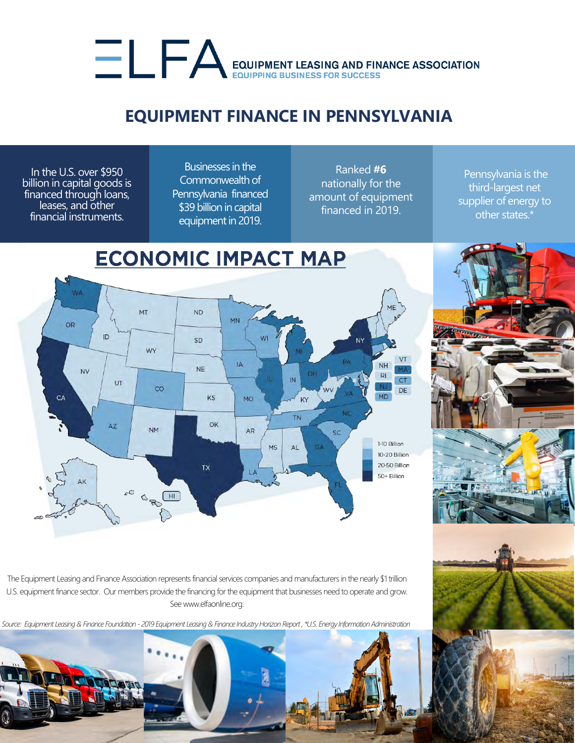## EQUIPMENT LEASING AND FINANCE ASSOCIATION

## **EQUIPMENT FINANCE IN PENNSYLVANIA**

In the U.S. over \$950 billion in capital goods is financed through loans, leases, and other financial instruments.

Businesses in the Commonwealth of Pennsylvania financed \$39 billion in capital equipment in 2019.

Ranked **#6**  nationally for the amount of equipment financed in 2019.

Pennsylvania is the third-largest net supplier of energy to other states.\*



The Equipment Leasing and Finance Association represents financial services companies and manufacturers in the nearly \$1 trillion U.S. equipment finance sector. Our members provide the financing for the equipment that businesses need to operate and grow. See www.elfaonline.org.

*Source: Equipment Leasing & Finance Foundation - 2019 Equipment Leasing & Finance Industry Horizon Report , \*U.S. Energy Information Administration*